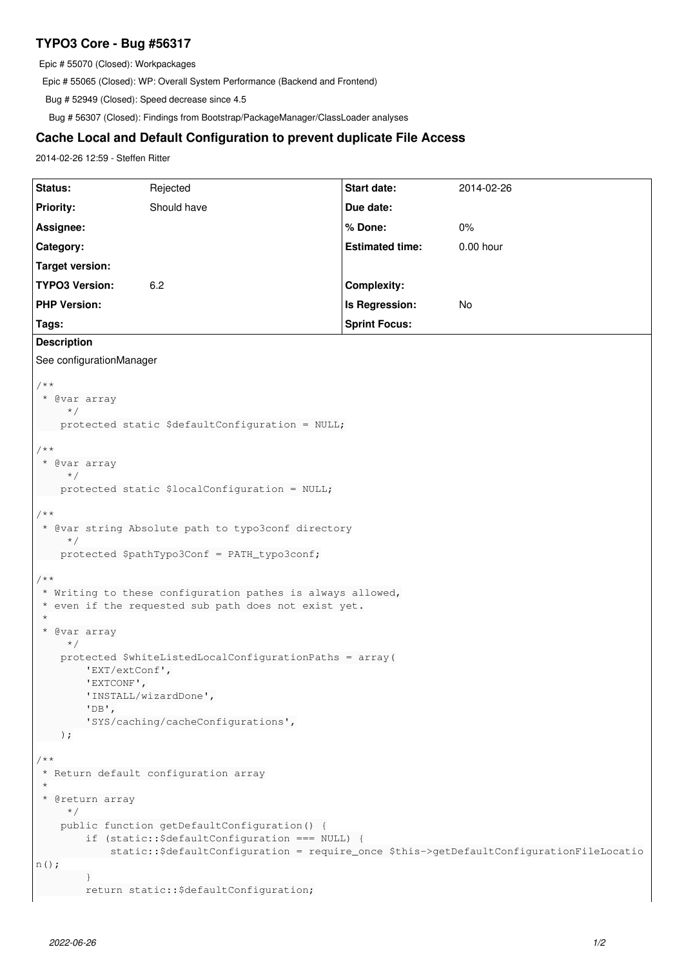## **TYPO3 Core - Bug #56317**

Epic # 55070 (Closed): Workpackages

Epic # 55065 (Closed): WP: Overall System Performance (Backend and Frontend)

Bug # 52949 (Closed): Speed decrease since 4.5

Bug # 56307 (Closed): Findings from Bootstrap/PackageManager/ClassLoader analyses

## **Cache Local and Default Configuration to prevent duplicate File Access**

2014-02-26 12:59 - Steffen Ritter

| Status:                                                                                                                                     | Rejected    | Start date:            | 2014-02-26  |
|---------------------------------------------------------------------------------------------------------------------------------------------|-------------|------------------------|-------------|
| <b>Priority:</b>                                                                                                                            | Should have | Due date:              |             |
| Assignee:                                                                                                                                   |             | % Done:                | $0\%$       |
| Category:                                                                                                                                   |             | <b>Estimated time:</b> | $0.00$ hour |
| <b>Target version:</b>                                                                                                                      |             |                        |             |
| <b>TYPO3 Version:</b>                                                                                                                       | 6.2         | <b>Complexity:</b>     |             |
| <b>PHP Version:</b>                                                                                                                         |             | Is Regression:         | No          |
| Tags:                                                                                                                                       |             | <b>Sprint Focus:</b>   |             |
| <b>Description</b>                                                                                                                          |             |                        |             |
| See configurationManager                                                                                                                    |             |                        |             |
|                                                                                                                                             |             |                        |             |
| $/*$ *<br>* @var array                                                                                                                      |             |                        |             |
| $\star$ /                                                                                                                                   |             |                        |             |
| protected static \$defaultConfiguration = NULL;                                                                                             |             |                        |             |
| $/ * *$                                                                                                                                     |             |                        |             |
| * @var array                                                                                                                                |             |                        |             |
| $\star/$<br>protected static \$localConfiguration = NULL;                                                                                   |             |                        |             |
|                                                                                                                                             |             |                        |             |
| $/*$ *<br>* @var string Absolute path to typo3conf directory                                                                                |             |                        |             |
| $\star$ /                                                                                                                                   |             |                        |             |
| protected \$pathTypo3Conf = PATH_typo3conf;                                                                                                 |             |                        |             |
| $/ * *$                                                                                                                                     |             |                        |             |
| * Writing to these configuration pathes is always allowed,                                                                                  |             |                        |             |
| * even if the requested sub path does not exist yet.<br>$^\star$                                                                            |             |                        |             |
| * @var array                                                                                                                                |             |                        |             |
| $\star/$<br>protected \$whiteListedLocalConfigurationPaths = array(                                                                         |             |                        |             |
| 'EXT/extConf',                                                                                                                              |             |                        |             |
| 'EXTCONF',                                                                                                                                  |             |                        |             |
| 'INSTALL/wizardDone',<br>$'DB'$ ,                                                                                                           |             |                        |             |
| 'SYS/caching/cacheConfigurations',                                                                                                          |             |                        |             |
| $\cdot$                                                                                                                                     |             |                        |             |
| $/*$ *                                                                                                                                      |             |                        |             |
| * Return default configuration array                                                                                                        |             |                        |             |
| $\star$<br>* @return array                                                                                                                  |             |                        |             |
| $\star$ /                                                                                                                                   |             |                        |             |
| public function getDefaultConfiguration() {                                                                                                 |             |                        |             |
| if (static:: \$defaultConfiguration === NULL) {<br>static::\$defaultConfiguration = require_once \$this->getDefaultConfigurationFileLocatio |             |                        |             |
| $n()$ ;                                                                                                                                     |             |                        |             |
|                                                                                                                                             |             |                        |             |
| return static:: \$defaultConfiguration;                                                                                                     |             |                        |             |